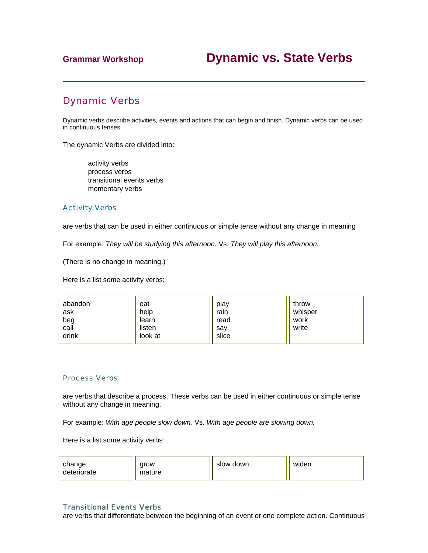# Dynamic Verbs

Dynamic verbs describe activities, events and actions that can begin and finish. Dynamic verbs can be used in continuous tenses.

The dynamic Verbs are divided into:

 activity verbs process verbs transitional events verbs momentary verbs

### Activity Verbs

are verbs that can be used in either continuous or simple tense without any change in meaning

For example: *They will be studying this afternoon.* Vs. *They will play this afternoon.* 

(There is no change in meaning.)

Here is a list some activity verbs:

| abandon<br>ask<br>beg<br>call<br>drink | eat<br>help<br>learn<br>listen<br>look at | play<br>rain<br>read<br>sav<br>slice | throw<br>whisper<br>work<br>write |
|----------------------------------------|-------------------------------------------|--------------------------------------|-----------------------------------|
|----------------------------------------|-------------------------------------------|--------------------------------------|-----------------------------------|

### Process Verbs

are verbs that describe a process. These verbs can be used in either continuous or simple tense without any change in meaning.

For example: *With age people slow down.* Vs. *With age people are slowing down.*

Here is a list some activity verbs:

| change<br>deteriorate | arow<br>mature | slow down | widen |
|-----------------------|----------------|-----------|-------|
|                       |                |           |       |

## Transitional Events Verbs

are verbs that differentiate between the beginning of an event or one complete action. Continuous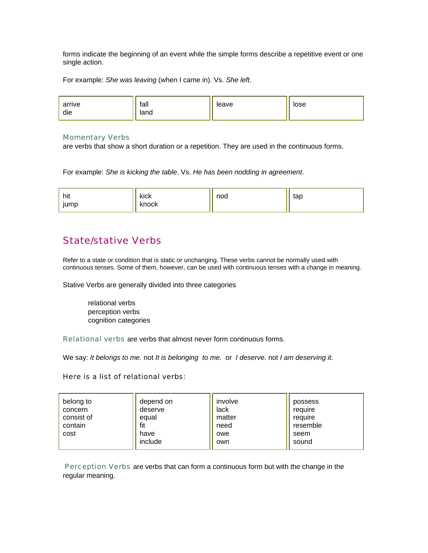forms indicate the beginning of an event while the simple forms describe a repetitive event or one single action.

For example: *She was leaving* (when I came in). Vs. *She left.* 



### Momentary Verbs

are verbs that show a short duration or a repetition. They are used in the continuous forms.

For example: *She is kicking the table*. Vs. *He has been nodding in agreement*.

| hit<br>$\cdot$<br>jump | kick<br>knock | nod | tap |
|------------------------|---------------|-----|-----|
|------------------------|---------------|-----|-----|

# State/stative Verbs

Refer to a state or condition that is static or unchanging. These verbs cannot be normally used with continuous tenses. Some of them, however, can be used with continuous tenses with a change in meaning.

Stative Verbs are generally divided into three categories

 relational verbs perception verbs cognition categories

Relational verbs are verbs that almost never form continuous forms.

We say: *It belongs to me.* not *It is belonging to me.* or *I deserve.* not *I am deserving it.*

### Here is a list of relational verbs:

| belong to<br>concern<br>consist of<br>contain<br>cost | depend on<br>deserve<br>equal<br>fit<br>have<br>include | involve<br>lack<br>matter<br>need<br>owe<br>own | possess<br>require<br>require<br>resemble<br>seem<br>sound |
|-------------------------------------------------------|---------------------------------------------------------|-------------------------------------------------|------------------------------------------------------------|
|-------------------------------------------------------|---------------------------------------------------------|-------------------------------------------------|------------------------------------------------------------|

Perception Verbs are verbs that can form a continuous form but with the change in the regular meaning.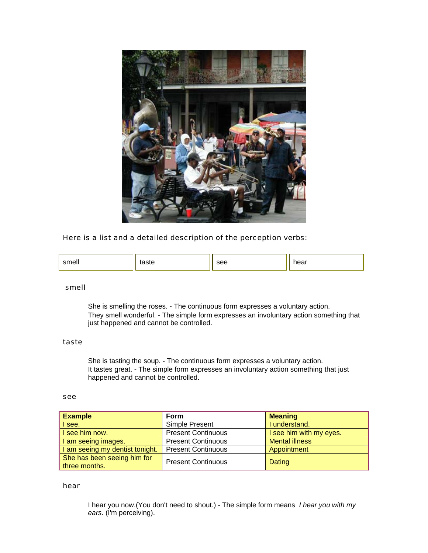

## Here is a list and a detailed description of the perception verbs:

| ᠁ | 51 H | ີ | אמו |
|---|------|---|-----|
|---|------|---|-----|

## smell

 She is smelling the roses. - The continuous form expresses a voluntary action. They smell wonderful. - The simple form expresses an involuntary action something that just happened and cannot be controlled.

## taste

 She is tasting the soup. - The continuous form expresses a voluntary action. It tastes great. - The simple form expresses an involuntary action something that just happened and cannot be controlled.

## see

| <b>Example</b>                               | <b>Form</b>               | <b>Meaning</b>          |
|----------------------------------------------|---------------------------|-------------------------|
| see.                                         | Simple Present            | I understand.           |
| see him now.                                 | <b>Present Continuous</b> | I see him with my eyes. |
| am seeing images.                            | <b>Present Continuous</b> | <b>Mental illness</b>   |
| am seeing my dentist tonight.                | <b>Present Continuous</b> | Appointment             |
| She has been seeing him for<br>three months. | <b>Present Continuous</b> | Dating                  |

#### hear

 I hear you now.(You don't need to shout.) - The simple form means *I hear you with my ears.* (I'm perceiving).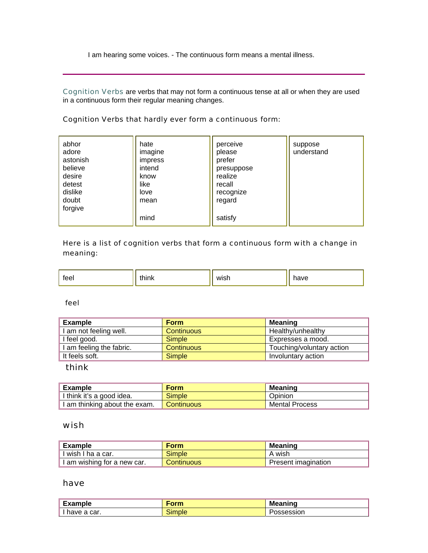I am hearing some voices. - The continuous form means a mental illness.

Cognition Verbs are verbs that may not form a continuous tense at all or when they are used in a continuous form their regular meaning changes.

## Cognition Verbs that hardly ever form a continuous form:

| abhor<br>adore<br>astonish<br>believe<br>desire<br>detest<br>dislike<br>doubt<br>forgive | hate<br>imagine<br>impress<br>intend<br>know<br>like<br>love<br>mean | perceive<br>please<br>prefer<br>presuppose<br>realize<br>recall<br>recognize<br>regard | suppose<br>understand |
|------------------------------------------------------------------------------------------|----------------------------------------------------------------------|----------------------------------------------------------------------------------------|-----------------------|
|                                                                                          | mind                                                                 | satisfy                                                                                |                       |

# Here is a list of cognition verbs that form a continuous form with a change in meaning:

| teel | think<br>. | wish | . ave |
|------|------------|------|-------|
|------|------------|------|-------|

## feel

| <b>Example</b>         | <b>Form</b>       | <b>Meaning</b>            |
|------------------------|-------------------|---------------------------|
| am not feeling well.   | <b>Continuous</b> | Healthy/unhealthy         |
| feel good.             | <b>Simple</b>     | Expresses a mood.         |
| am feeling the fabric. | <b>Continuous</b> | Touching/voluntary action |
| It feels soft.         | <b>Simple</b>     | Involuntary action        |

## think

| Example                       | Form              | Meaning               |
|-------------------------------|-------------------|-----------------------|
| I think it's a good idea.     | <b>Simple</b>     | Opinion               |
| I am thinking about the exam. | <b>Continuous</b> | <b>Mental Process</b> |

## wish

| <sup>"</sup> Example        | <b>Form</b>       | <b>Meaning</b>      |
|-----------------------------|-------------------|---------------------|
| I I wish I ha a car.        | Simple            | A wish              |
| I am wishing for a new car. | <b>Continuous</b> | Present imagination |

## have

| Example       | Form   | <b>Meaning</b> |
|---------------|--------|----------------|
| I have a car. | Simple | SSessionد      |